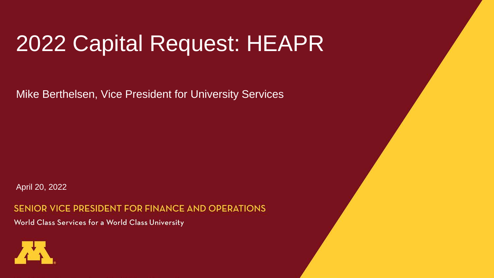### 2022 Capital Request: HEAPR

Mike Berthelsen, Vice President for University Services

April 20, 2022

SENIOR VICE PRESIDENT FOR FINANCE AND OPERATIONS World Class Services for a World Class University

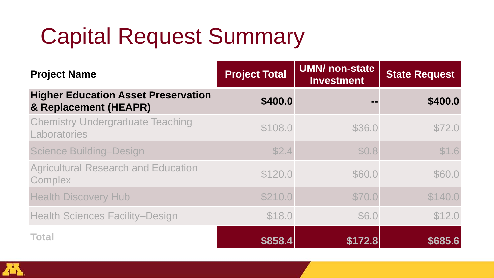# Capital Request Summary

| <b>Project Name</b>                                                 | <b>Project Total</b> | <b>UMN/</b> non-state<br><b>Investment</b> | <b>State Request</b> |
|---------------------------------------------------------------------|----------------------|--------------------------------------------|----------------------|
| <b>Higher Education Asset Preservation</b><br>& Replacement (HEAPR) | \$400.0              |                                            | \$400.0              |
| <b>Chemistry Undergraduate Teaching</b><br>Laboratories             | \$108.0              | \$36.0                                     | \$72.0               |
| <b>Science Building-Design</b>                                      | \$2.4                | \$0.8                                      | \$1.6                |
| <b>Agricultural Research and Education</b><br>Complex               | \$120.0              | \$60.0                                     | \$60.0               |
| <b>Health Discovery Hub</b>                                         | \$210.0              | \$70.0                                     | \$140.0              |
| <b>Health Sciences Facility-Design</b>                              | \$18.0               | \$6.0                                      | \$12.0               |
| <b>Total</b>                                                        | \$858.4              | \$172.8                                    | \$685.6              |

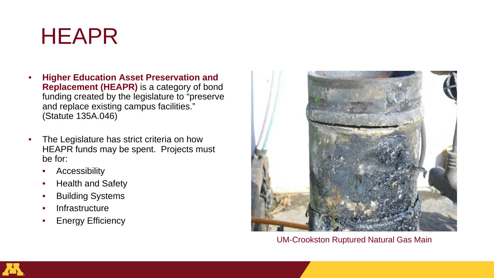### HEAPR

- **Higher Education Asset Preservation and Replacement (HEAPR)** is a category of bond funding created by the legislature to "preserve and replace existing campus facilities." (Statute 135A.046)
- The Legislature has strict criteria on how HEAPR funds may be spent. Projects must be for:
	- **Accessibility**
	- Health and Safety
	- **Building Systems**
	- **Infrastructure**
	- **Energy Efficiency**



UM-Crookston Ruptured Natural Gas Main

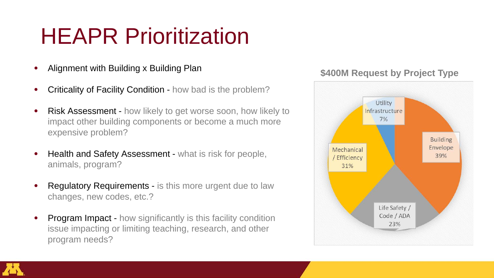### HEAPR Prioritization

- Alignment with Building x Building Plan
- Criticality of Facility Condition how bad is the problem?
- **Risk Assessment how likely to get worse soon, how likely to** impact other building components or become a much more expensive problem?
- Health and Safety Assessment what is risk for people, animals, program?
- **Regulatory Requirements is this more urgent due to law** changes, new codes, etc.?
- Program Impact how significantly is this facility condition issue impacting or limiting teaching, research, and other program needs?

#### **\$400M Request by Project Type**



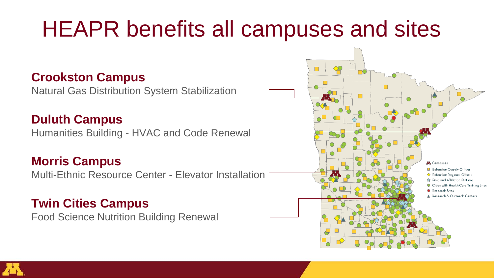### HEAPR benefits all campuses and sites

#### **Crookston Campus**

Natural Gas Distribution System Stabilization

**Duluth Campus** Humanities Building - HVAC and Code Renewal

#### **Morris Campus**

Multi-Ethnic Resource Center - Elevator Installation

#### **Twin Cities Campus**

Food Science Nutrition Building Renewal



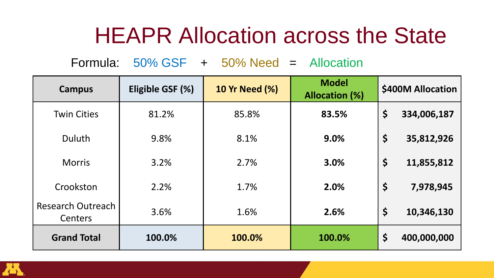### HEAPR Allocation across the State

Formula: 50% GSF + 50% Need = Allocation

| <b>Campus</b>                | Eligible GSF (%) | <b>10 Yr Need (%)</b> | <b>Model</b><br><b>Allocation (%)</b> | \$400M Allocation |             |
|------------------------------|------------------|-----------------------|---------------------------------------|-------------------|-------------|
| <b>Twin Cities</b>           | 81.2%            | 85.8%                 | 83.5%                                 | \$                | 334,006,187 |
| <b>Duluth</b>                | 9.8%             | 8.1%                  | 9.0%                                  | \$                | 35,812,926  |
| <b>Morris</b>                | 3.2%             | 2.7%                  | 3.0%                                  | \$                | 11,855,812  |
| Crookston                    | 2.2%             | 1.7%                  | 2.0%                                  | \$                | 7,978,945   |
| Research Outreach<br>Centers | 3.6%             | 1.6%                  | 2.6%                                  | \$                | 10,346,130  |
| <b>Grand Total</b>           | 100.0%           | 100.0%                | 100.0%                                | \$                | 400,000,000 |

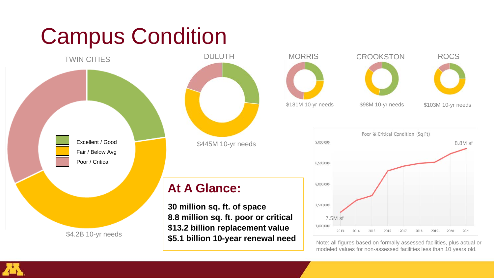### Campus Condition









Poor & Critical Condition (Sq Ft) 9,000,000 8.8M sf 8.500.000 8.000.000 7,500,000 7.5M sf 7,000,000 2013 2021 2014 2015 2016 2017 2018 2019

Note: all figures based on formally assessed facilities, plus actual or modeled values for non-assessed facilities less than 10 years old.

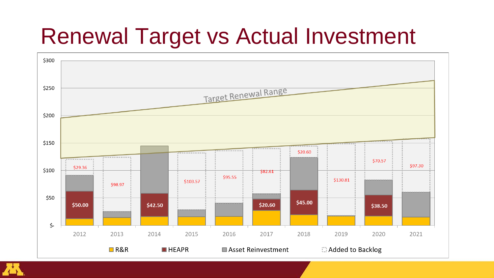### Renewal Target vs Actual Investment



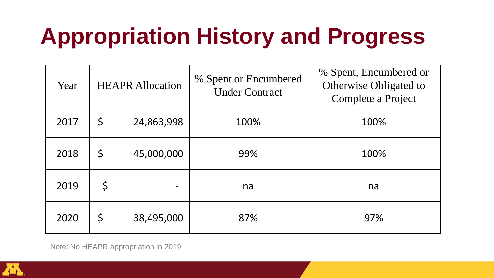# **Appropriation History and Progress**

| Year | <b>HEAPR Allocation</b> |            | % Spent or Encumbered<br><b>Under Contract</b> | % Spent, Encumbered or<br>Otherwise Obligated to<br>Complete a Project |  |
|------|-------------------------|------------|------------------------------------------------|------------------------------------------------------------------------|--|
| 2017 | \$                      | 24,863,998 | 100%                                           | 100%                                                                   |  |
| 2018 | \$                      | 45,000,000 | 99%                                            | 100%                                                                   |  |
| 2019 | \$                      |            | na                                             | na                                                                     |  |
| 2020 | \$                      | 38,495,000 | 87%                                            | 97%                                                                    |  |

Note: No HEAPR appropriation in 2019

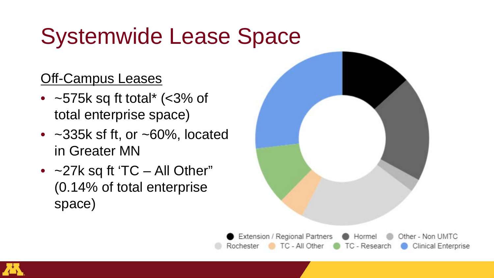# Systemwide Lease Space

### **Off-Campus Leases**

- $~575k$  sq ft total\* (<3% of total enterprise space)
- $\sim$ 335k sf ft, or  $\sim$ 60%, located in Greater MN
- $\sim$  27k sq ft 'TC All Other" (0.14% of total enterprise space)



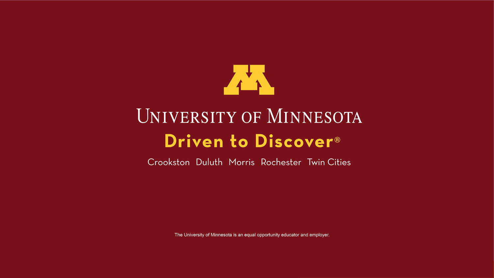

### UNIVERSITY OF MINNESOTA Driven to Discover<sup>®</sup>

Crookston Duluth Morris Rochester Twin Cities

The University of Minnesota is an equal opportunity educator and employer.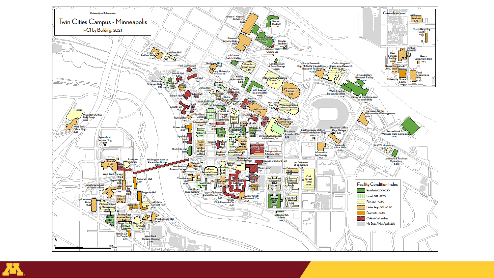